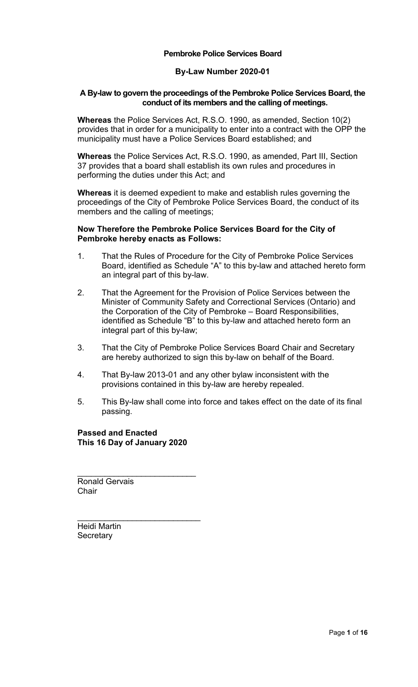## **Pembroke Police Services Board**

# **By-Law Number 2020-01**

## <span id="page-0-0"></span>**A By-law to govern the proceedings of the Pembroke Police Services Board, the conduct of its members and the calling of meetings.**

**Whereas** the Police Services Act, R.S.O. 1990, as amended, Section 10(2) provides that in order for a municipality to enter into a contract with the OPP the municipality must have a Police Services Board established; and

**Whereas** the Police Services Act, R.S.O. 1990, as amended, Part III, Section 37 provides that a board shall establish its own rules and procedures in performing the duties under this Act; and

**Whereas** it is deemed expedient to make and establish rules governing the proceedings of the City of Pembroke Police Services Board, the conduct of its members and the calling of meetings;

## **Now Therefore the Pembroke Police Services Board for the City of Pembroke hereby enacts as Follows:**

- 1. That the Rules of Procedure for the City of Pembroke Police Services Board, identified as Schedule "A" to this by-law and attached hereto form an integral part of this by-law.
- 2. That the Agreement for the Provision of Police Services between the Minister of Community Safety and Correctional Services (Ontario) and the Corporation of the City of Pembroke – Board Responsibilities, identified as Schedule "B" to this by-law and attached hereto form an integral part of this by-law;
- 3. That the City of Pembroke Police Services Board Chair and Secretary are hereby authorized to sign this by-law on behalf of the Board.
- 4. That By-law 2013-01 and any other bylaw inconsistent with the provisions contained in this by-law are hereby repealed.
- 5. This By-law shall come into force and takes effect on the date of its final passing.

**Passed and Enacted This 16 Day of January 2020** 

\_\_\_\_\_\_\_\_\_\_\_\_\_\_\_\_\_\_\_\_\_\_\_\_\_\_

\_\_\_\_\_\_\_\_\_\_\_\_\_\_\_\_\_\_\_\_\_\_\_\_\_\_\_

Ronald Gervais **Chair** 

Heidi Martin **Secretary**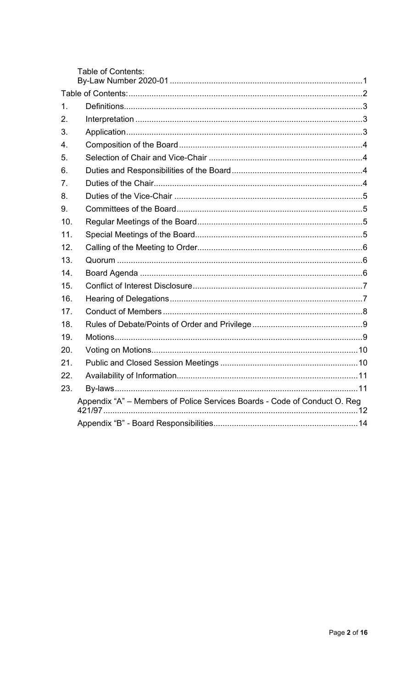<span id="page-1-1"></span><span id="page-1-0"></span>

|               | <b>Table of Contents:</b>                                                 |
|---------------|---------------------------------------------------------------------------|
|               |                                                                           |
| $\mathbf 1$ . |                                                                           |
| 2.            |                                                                           |
| 3.            |                                                                           |
| 4.            |                                                                           |
| 5.            |                                                                           |
| 6.            |                                                                           |
| 7.            |                                                                           |
| 8.            |                                                                           |
| 9.            |                                                                           |
| 10.           |                                                                           |
| 11.           |                                                                           |
| 12.           |                                                                           |
| 13.           |                                                                           |
| 14.           |                                                                           |
| 15.           |                                                                           |
| 16.           |                                                                           |
| 17.           |                                                                           |
| 18.           |                                                                           |
| 19.           |                                                                           |
| 20.           |                                                                           |
| 21.           |                                                                           |
| 22.           |                                                                           |
| 23.           |                                                                           |
|               | Appendix "A" - Members of Police Services Boards - Code of Conduct O. Reg |
|               |                                                                           |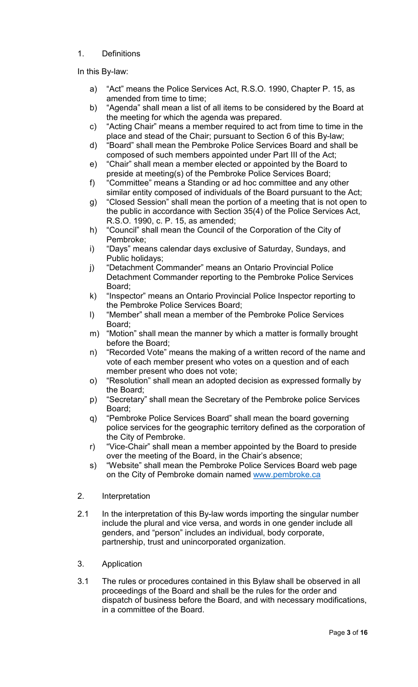# 1. Definitions

In this By-law:

- a) "Act" means the Police Services Act, R.S.O. 1990, Chapter P. 15, as amended from time to time;
- b) "Agenda" shall mean a list of all items to be considered by the Board at the meeting for which the agenda was prepared.
- c) "Acting Chair" means a member required to act from time to time in the place and stead of the Chair; pursuant to Section 6 of this By-law;
- d) "Board" shall mean the Pembroke Police Services Board and shall be composed of such members appointed under Part III of the Act;
- e) "Chair" shall mean a member elected or appointed by the Board to preside at meeting(s) of the Pembroke Police Services Board;
- f) "Committee" means a Standing or ad hoc committee and any other similar entity composed of individuals of the Board pursuant to the Act;
- g) "Closed Session" shall mean the portion of a meeting that is not open to the public in accordance with Section 35(4) of the Police Services Act, R.S.O. 1990, c. P. 15, as amended;
- h) "Council" shall mean the Council of the Corporation of the City of Pembroke;
- i) "Days" means calendar days exclusive of Saturday, Sundays, and Public holidays;
- j) "Detachment Commander" means an Ontario Provincial Police Detachment Commander reporting to the Pembroke Police Services Board;
- k) "Inspector" means an Ontario Provincial Police Inspector reporting to the Pembroke Police Services Board;
- l) "Member" shall mean a member of the Pembroke Police Services Board;
- m) "Motion" shall mean the manner by which a matter is formally brought before the Board;
- n) "Recorded Vote" means the making of a written record of the name and vote of each member present who votes on a question and of each member present who does not vote;
- o) "Resolution" shall mean an adopted decision as expressed formally by the Board;
- p) "Secretary" shall mean the Secretary of the Pembroke police Services Board;
- q) "Pembroke Police Services Board" shall mean the board governing police services for the geographic territory defined as the corporation of the City of Pembroke.
- r) "Vice-Chair" shall mean a member appointed by the Board to preside over the meeting of the Board, in the Chair's absence;
- s) "Website" shall mean the Pembroke Police Services Board web page on the City of Pembroke domain named [www.pembroke.ca](http://www.pembroke.ca/)
- <span id="page-2-0"></span>2. Interpretation
- 2.1 In the interpretation of this By-law words importing the singular number include the plural and vice versa, and words in one gender include all genders, and "person" includes an individual, body corporate, partnership, trust and unincorporated organization.
- <span id="page-2-1"></span>3. Application
- 3.1 The rules or procedures contained in this Bylaw shall be observed in all proceedings of the Board and shall be the rules for the order and dispatch of business before the Board, and with necessary modifications, in a committee of the Board.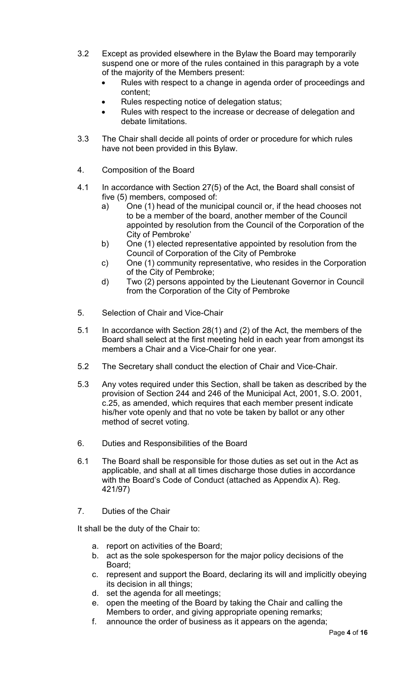- 3.2 Except as provided elsewhere in the Bylaw the Board may temporarily suspend one or more of the rules contained in this paragraph by a vote of the majority of the Members present:
	- Rules with respect to a change in agenda order of proceedings and content;
	- Rules respecting notice of delegation status;
	- Rules with respect to the increase or decrease of delegation and debate limitations.
- 3.3 The Chair shall decide all points of order or procedure for which rules have not been provided in this Bylaw.
- <span id="page-3-0"></span>4. Composition of the Board
- 4.1 In accordance with Section 27(5) of the Act, the Board shall consist of five (5) members, composed of:
	- a) One (1) head of the municipal council or, if the head chooses not to be a member of the board, another member of the Council appointed by resolution from the Council of the Corporation of the City of Pembroke'
	- b) One (1) elected representative appointed by resolution from the Council of Corporation of the City of Pembroke
	- c) One (1) community representative, who resides in the Corporation of the City of Pembroke;
	- d) Two (2) persons appointed by the Lieutenant Governor in Council from the Corporation of the City of Pembroke
- <span id="page-3-1"></span>5. Selection of Chair and Vice-Chair
- 5.1 In accordance with Section 28(1) and (2) of the Act, the members of the Board shall select at the first meeting held in each year from amongst its members a Chair and a Vice-Chair for one year.
- 5.2 The Secretary shall conduct the election of Chair and Vice-Chair.
- 5.3 Any votes required under this Section, shall be taken as described by the provision of Section 244 and 246 of the Municipal Act, 2001, S.O. 2001, c.25, as amended, which requires that each member present indicate his/her vote openly and that no vote be taken by ballot or any other method of secret voting.
- <span id="page-3-2"></span>6. Duties and Responsibilities of the Board
- 6.1 The Board shall be responsible for those duties as set out in the Act as applicable, and shall at all times discharge those duties in accordance with the Board's Code of Conduct (attached as Appendix A). Reg. 421/97)
- <span id="page-3-3"></span>7. Duties of the Chair

It shall be the duty of the Chair to:

- a. report on activities of the Board;
- b. act as the sole spokesperson for the major policy decisions of the Board;
- c. represent and support the Board, declaring its will and implicitly obeying its decision in all things;
- d. set the agenda for all meetings;
- e. open the meeting of the Board by taking the Chair and calling the Members to order, and giving appropriate opening remarks;
- f. announce the order of business as it appears on the agenda;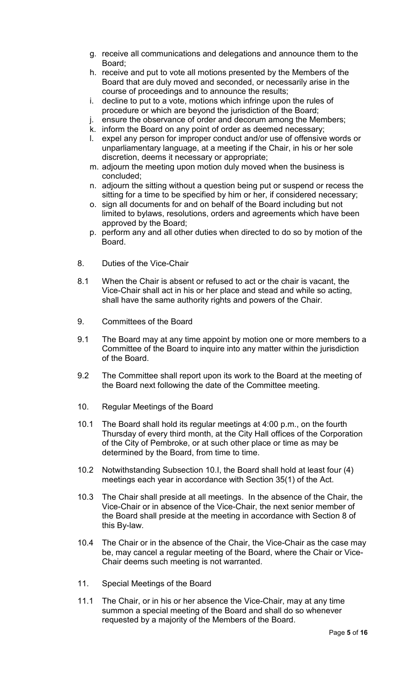- g. receive all communications and delegations and announce them to the Board;
- h. receive and put to vote all motions presented by the Members of the Board that are duly moved and seconded, or necessarily arise in the course of proceedings and to announce the results;
- i. decline to put to a vote, motions which infringe upon the rules of procedure or which are beyond the jurisdiction of the Board;
- j. ensure the observance of order and decorum among the Members;
- k. inform the Board on any point of order as deemed necessary;
- l. expel any person for improper conduct and/or use of offensive words or unparliamentary language, at a meeting if the Chair, in his or her sole discretion, deems it necessary or appropriate;
- m. adjourn the meeting upon motion duly moved when the business is concluded;
- n. adjourn the sitting without a question being put or suspend or recess the sitting for a time to be specified by him or her, if considered necessary;
- o. sign all documents for and on behalf of the Board including but not limited to bylaws, resolutions, orders and agreements which have been approved by the Board;
- p. perform any and all other duties when directed to do so by motion of the Board.
- <span id="page-4-0"></span>8. Duties of the Vice-Chair
- 8.1 When the Chair is absent or refused to act or the chair is vacant, the Vice-Chair shall act in his or her place and stead and while so acting, shall have the same authority rights and powers of the Chair.
- <span id="page-4-1"></span>9. Committees of the Board
- 9.1 The Board may at any time appoint by motion one or more members to a Committee of the Board to inquire into any matter within the jurisdiction of the Board.
- 9.2 The Committee shall report upon its work to the Board at the meeting of the Board next following the date of the Committee meeting.
- <span id="page-4-2"></span>10. Regular Meetings of the Board
- 10.1 The Board shall hold its regular meetings at 4:00 p.m., on the fourth Thursday of every third month, at the City Hall offices of the Corporation of the City of Pembroke, or at such other place or time as may be determined by the Board, from time to time.
- 10.2 Notwithstanding Subsection 10.I, the Board shall hold at least four (4) meetings each year in accordance with Section 35(1) of the Act.
- 10.3 The Chair shall preside at all meetings. In the absence of the Chair, the Vice-Chair or in absence of the Vice-Chair, the next senior member of the Board shall preside at the meeting in accordance with Section 8 of this By-law.
- 10.4 The Chair or in the absence of the Chair, the Vice-Chair as the case may be, may cancel a regular meeting of the Board, where the Chair or Vice-Chair deems such meeting is not warranted.
- <span id="page-4-3"></span>11. Special Meetings of the Board
- 11.1 The Chair, or in his or her absence the Vice-Chair, may at any time summon a special meeting of the Board and shall do so whenever requested by a majority of the Members of the Board.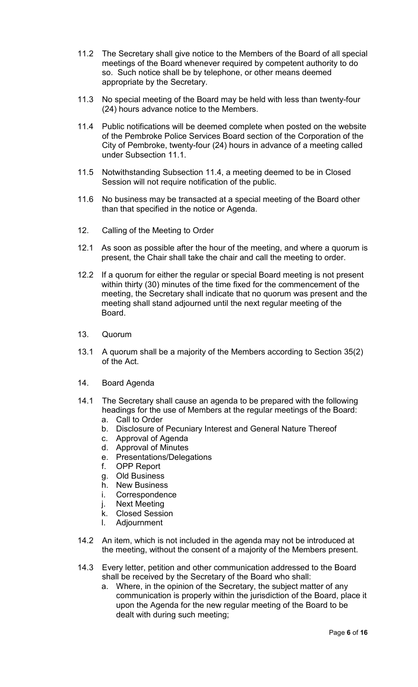- 11.2 The Secretary shall give notice to the Members of the Board of all special meetings of the Board whenever required by competent authority to do so. Such notice shall be by telephone, or other means deemed appropriate by the Secretary.
- 11.3 No special meeting of the Board may be held with less than twenty-four (24) hours advance notice to the Members.
- 11.4 Public notifications will be deemed complete when posted on the website of the Pembroke Police Services Board section of the Corporation of the City of Pembroke, twenty-four (24) hours in advance of a meeting called under Subsection 11.1.
- 11.5 Notwithstanding Subsection 11.4, a meeting deemed to be in Closed Session will not require notification of the public.
- 11.6 No business may be transacted at a special meeting of the Board other than that specified in the notice or Agenda.
- <span id="page-5-0"></span>12. Calling of the Meeting to Order
- 12.1 As soon as possible after the hour of the meeting, and where a quorum is present, the Chair shall take the chair and call the meeting to order.
- 12.2 If a quorum for either the regular or special Board meeting is not present within thirty (30) minutes of the time fixed for the commencement of the meeting, the Secretary shall indicate that no quorum was present and the meeting shall stand adjourned until the next regular meeting of the Board.
- <span id="page-5-1"></span>13. Quorum
- 13.1 A quorum shall be a majority of the Members according to Section 35(2) of the Act.
- <span id="page-5-2"></span>14. Board Agenda
- 14.1 The Secretary shall cause an agenda to be prepared with the following headings for the use of Members at the regular meetings of the Board:
	- a. Call to Order
	- b. Disclosure of Pecuniary Interest and General Nature Thereof
	- c. Approval of Agenda
	- d. Approval of Minutes
	- e. Presentations/Delegations
	- f. OPP Report
	- g. Old Business
	- h. New Business
	- i. Correspondence
	- j. Next Meeting
	- k. Closed Session
	- l. Adjournment
- 14.2 An item, which is not included in the agenda may not be introduced at the meeting, without the consent of a majority of the Members present.
- 14.3 Every letter, petition and other communication addressed to the Board shall be received by the Secretary of the Board who shall:
	- a. Where, in the opinion of the Secretary, the subject matter of any communication is properly within the jurisdiction of the Board, place it upon the Agenda for the new regular meeting of the Board to be dealt with during such meeting;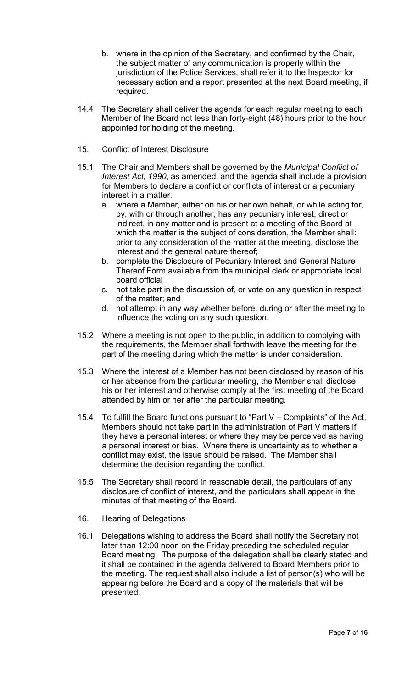- b. where in the opinion of the Secretary, and confirmed by the Chair, the subject matter of any communication is properly within the jurisdiction of the Police Services, shall refer it to the Inspector for necessary action and a report presented at the next Board meeting, if required.
- 14.4 The Secretary shall deliver the agenda for each regular meeting to each Member of the Board not less than forty-eight (48) hours prior to the hour appointed for holding of the meeting.
- <span id="page-6-0"></span>15. Conflict of Interest Disclosure
- 15.1 The Chair and Members shall be governed by the *Municipal Conflict of Interest Act, 1990*, as amended, and the agenda shall include a provision for Members to declare a conflict or conflicts of interest or a pecuniary interest in a matter.
	- a. where a Member, either on his or her own behalf, or while acting for, by, with or through another, has any pecuniary interest, direct or indirect, in any matter and is present at a meeting of the Board at which the matter is the subject of consideration, the Member shall: prior to any consideration of the matter at the meeting, disclose the interest and the general nature thereof;
	- b. complete the Disclosure of Pecuniary Interest and General Nature Thereof Form available from the municipal clerk or appropriate local board official
	- c. not take part in the discussion of, or vote on any question in respect of the matter; and
	- d. not attempt in any way whether before, during or after the meeting to influence the voting on any such question.
- 15.2 Where a meeting is not open to the public, in addition to complying with the requirements, the Member shall forthwith leave the meeting for the part of the meeting during which the matter is under consideration.
- 15.3 Where the interest of a Member has not been disclosed by reason of his or her absence from the particular meeting, the Member shall disclose his or her interest and otherwise comply at the first meeting of the Board attended by him or her after the particular meeting.
- 15.4 To fulfill the Board functions pursuant to "Part V Complaints" of the Act, Members should not take part in the administration of Part V matters if they have a personal interest or where they may be perceived as having a personal interest or bias. Where there is uncertainty as to whether a conflict may exist, the issue should be raised. The Member shall determine the decision regarding the conflict.
- 15.5 The Secretary shall record in reasonable detail, the particulars of any disclosure of conflict of interest, and the particulars shall appear in the minutes of that meeting of the Board.
- <span id="page-6-1"></span>16. Hearing of Delegations
- 16.1 Delegations wishing to address the Board shall notify the Secretary not later than 12:00 noon on the Friday preceding the scheduled regular Board meeting. The purpose of the delegation shall be clearly stated and it shall be contained in the agenda delivered to Board Members prior to the meeting. The request shall also include a list of person(s) who will be appearing before the Board and a copy of the materials that will be presented.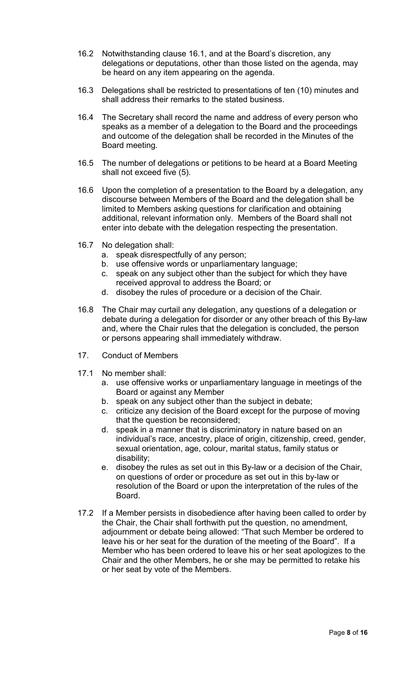- 16.2 Notwithstanding clause 16.1, and at the Board's discretion, any delegations or deputations, other than those listed on the agenda, may be heard on any item appearing on the agenda.
- 16.3 Delegations shall be restricted to presentations of ten (10) minutes and shall address their remarks to the stated business.
- 16.4 The Secretary shall record the name and address of every person who speaks as a member of a delegation to the Board and the proceedings and outcome of the delegation shall be recorded in the Minutes of the Board meeting.
- 16.5 The number of delegations or petitions to be heard at a Board Meeting shall not exceed five (5).
- 16.6 Upon the completion of a presentation to the Board by a delegation, any discourse between Members of the Board and the delegation shall be limited to Members asking questions for clarification and obtaining additional, relevant information only. Members of the Board shall not enter into debate with the delegation respecting the presentation.
- 16.7 No delegation shall:
	- a. speak disrespectfully of any person;
	- b. use offensive words or unparliamentary language;
	- c. speak on any subject other than the subject for which they have received approval to address the Board; or
	- d. disobey the rules of procedure or a decision of the Chair.
- 16.8 The Chair may curtail any delegation, any questions of a delegation or debate during a delegation for disorder or any other breach of this By-law and, where the Chair rules that the delegation is concluded, the person or persons appearing shall immediately withdraw.
- <span id="page-7-0"></span>17. Conduct of Members
- 17.1 No member shall:
	- a. use offensive works or unparliamentary language in meetings of the Board or against any Member
	- b. speak on any subject other than the subject in debate;
	- c. criticize any decision of the Board except for the purpose of moving that the question be reconsidered;
	- d. speak in a manner that is discriminatory in nature based on an individual's race, ancestry, place of origin, citizenship, creed, gender, sexual orientation, age, colour, marital status, family status or disability;
	- e. disobey the rules as set out in this By-law or a decision of the Chair, on questions of order or procedure as set out in this by-law or resolution of the Board or upon the interpretation of the rules of the Board.
- 17.2 If a Member persists in disobedience after having been called to order by the Chair, the Chair shall forthwith put the question, no amendment, adjournment or debate being allowed: "That such Member be ordered to leave his or her seat for the duration of the meeting of the Board". If a Member who has been ordered to leave his or her seat apologizes to the Chair and the other Members, he or she may be permitted to retake his or her seat by vote of the Members.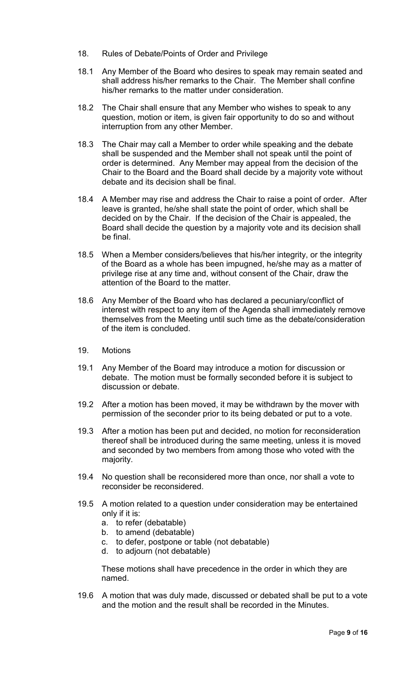- <span id="page-8-0"></span>18. Rules of Debate/Points of Order and Privilege
- 18.1 Any Member of the Board who desires to speak may remain seated and shall address his/her remarks to the Chair. The Member shall confine his/her remarks to the matter under consideration.
- 18.2 The Chair shall ensure that any Member who wishes to speak to any question, motion or item, is given fair opportunity to do so and without interruption from any other Member.
- 18.3 The Chair may call a Member to order while speaking and the debate shall be suspended and the Member shall not speak until the point of order is determined. Any Member may appeal from the decision of the Chair to the Board and the Board shall decide by a majority vote without debate and its decision shall be final.
- 18.4 A Member may rise and address the Chair to raise a point of order. After leave is granted, he/she shall state the point of order, which shall be decided on by the Chair. If the decision of the Chair is appealed, the Board shall decide the question by a majority vote and its decision shall be final.
- 18.5 When a Member considers/believes that his/her integrity, or the integrity of the Board as a whole has been impugned, he/she may as a matter of privilege rise at any time and, without consent of the Chair, draw the attention of the Board to the matter.
- 18.6 Any Member of the Board who has declared a pecuniary/conflict of interest with respect to any item of the Agenda shall immediately remove themselves from the Meeting until such time as the debate/consideration of the item is concluded.
- <span id="page-8-1"></span>19. Motions
- 19.1 Any Member of the Board may introduce a motion for discussion or debate. The motion must be formally seconded before it is subject to discussion or debate.
- 19.2 After a motion has been moved, it may be withdrawn by the mover with permission of the seconder prior to its being debated or put to a vote.
- 19.3 After a motion has been put and decided, no motion for reconsideration thereof shall be introduced during the same meeting, unless it is moved and seconded by two members from among those who voted with the majority.
- 19.4 No question shall be reconsidered more than once, nor shall a vote to reconsider be reconsidered.
- 19.5 A motion related to a question under consideration may be entertained only if it is:
	- a. to refer (debatable)
	- b. to amend (debatable)
	- c. to defer, postpone or table (not debatable)
	- d. to adjourn (not debatable)

These motions shall have precedence in the order in which they are named.

19.6 A motion that was duly made, discussed or debated shall be put to a vote and the motion and the result shall be recorded in the Minutes.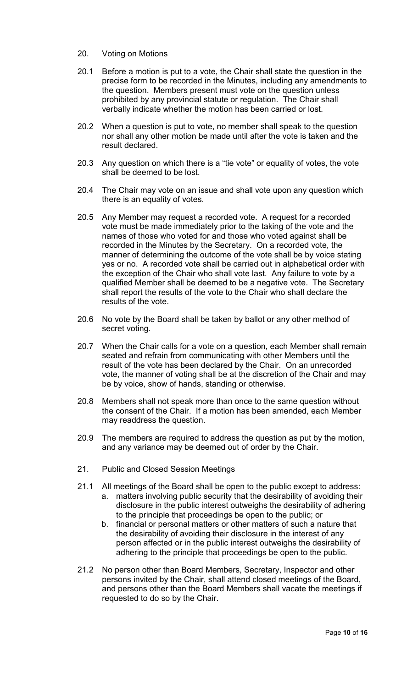- <span id="page-9-0"></span>20. Voting on Motions
- 20.1 Before a motion is put to a vote, the Chair shall state the question in the precise form to be recorded in the Minutes, including any amendments to the question. Members present must vote on the question unless prohibited by any provincial statute or regulation. The Chair shall verbally indicate whether the motion has been carried or lost.
- 20.2 When a question is put to vote, no member shall speak to the question nor shall any other motion be made until after the vote is taken and the result declared.
- 20.3 Any question on which there is a "tie vote" or equality of votes, the vote shall be deemed to be lost.
- 20.4 The Chair may vote on an issue and shall vote upon any question which there is an equality of votes.
- 20.5 Any Member may request a recorded vote. A request for a recorded vote must be made immediately prior to the taking of the vote and the names of those who voted for and those who voted against shall be recorded in the Minutes by the Secretary. On a recorded vote, the manner of determining the outcome of the vote shall be by voice stating yes or no. A recorded vote shall be carried out in alphabetical order with the exception of the Chair who shall vote last. Any failure to vote by a qualified Member shall be deemed to be a negative vote. The Secretary shall report the results of the vote to the Chair who shall declare the results of the vote.
- 20.6 No vote by the Board shall be taken by ballot or any other method of secret voting.
- 20.7 When the Chair calls for a vote on a question, each Member shall remain seated and refrain from communicating with other Members until the result of the vote has been declared by the Chair. On an unrecorded vote, the manner of voting shall be at the discretion of the Chair and may be by voice, show of hands, standing or otherwise.
- 20.8 Members shall not speak more than once to the same question without the consent of the Chair. If a motion has been amended, each Member may readdress the question.
- 20.9 The members are required to address the question as put by the motion, and any variance may be deemed out of order by the Chair.
- <span id="page-9-1"></span>21. Public and Closed Session Meetings
- 21.1 All meetings of the Board shall be open to the public except to address: a. matters involving public security that the desirability of avoiding their disclosure in the public interest outweighs the desirability of adhering to the principle that proceedings be open to the public; or
	- b. financial or personal matters or other matters of such a nature that the desirability of avoiding their disclosure in the interest of any person affected or in the public interest outweighs the desirability of adhering to the principle that proceedings be open to the public.
- 21.2 No person other than Board Members, Secretary, Inspector and other persons invited by the Chair, shall attend closed meetings of the Board, and persons other than the Board Members shall vacate the meetings if requested to do so by the Chair.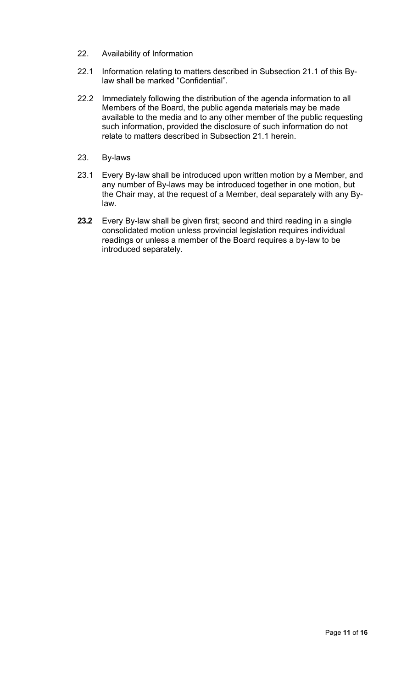- <span id="page-10-0"></span>22. Availability of Information
- 22.1 Information relating to matters described in Subsection 21.1 of this Bylaw shall be marked "Confidential".
- 22.2 Immediately following the distribution of the agenda information to all Members of the Board, the public agenda materials may be made available to the media and to any other member of the public requesting such information, provided the disclosure of such information do not relate to matters described in Subsection 21.1 herein.
- <span id="page-10-1"></span>23. By-laws
- 23.1 Every By-law shall be introduced upon written motion by a Member, and any number of By-laws may be introduced together in one motion, but the Chair may, at the request of a Member, deal separately with any Bylaw.
- **23.2** Every By-law shall be given first; second and third reading in a single consolidated motion unless provincial legislation requires individual readings or unless a member of the Board requires a by-law to be introduced separately.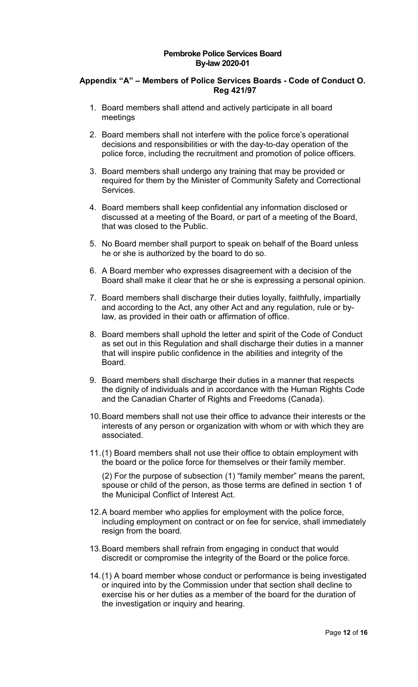## **Pembroke Police Services Board By-law 2020-01**

# <span id="page-11-0"></span>**Appendix "A" – Members of Police Services Boards - Code of Conduct O. Reg 421/97**

- 1. Board members shall attend and actively participate in all board meetings
- 2. Board members shall not interfere with the police force's operational decisions and responsibilities or with the day-to-day operation of the police force, including the recruitment and promotion of police officers.
- 3. Board members shall undergo any training that may be provided or required for them by the Minister of Community Safety and Correctional Services.
- 4. Board members shall keep confidential any information disclosed or discussed at a meeting of the Board, or part of a meeting of the Board, that was closed to the Public.
- 5. No Board member shall purport to speak on behalf of the Board unless he or she is authorized by the board to do so.
- 6. A Board member who expresses disagreement with a decision of the Board shall make it clear that he or she is expressing a personal opinion.
- 7. Board members shall discharge their duties loyally, faithfully, impartially and according to the Act, any other Act and any regulation, rule or bylaw, as provided in their oath or affirmation of office.
- 8. Board members shall uphold the letter and spirit of the Code of Conduct as set out in this Regulation and shall discharge their duties in a manner that will inspire public confidence in the abilities and integrity of the Board.
- 9. Board members shall discharge their duties in a manner that respects the dignity of individuals and in accordance with the Human Rights Code and the Canadian Charter of Rights and Freedoms (Canada).
- 10.Board members shall not use their office to advance their interests or the interests of any person or organization with whom or with which they are associated.
- 11.(1) Board members shall not use their office to obtain employment with the board or the police force for themselves or their family member.

(2) For the purpose of subsection (1) "family member" means the parent, spouse or child of the person, as those terms are defined in section 1 of the Municipal Conflict of Interest Act.

- 12.A board member who applies for employment with the police force, including employment on contract or on fee for service, shall immediately resign from the board.
- 13.Board members shall refrain from engaging in conduct that would discredit or compromise the integrity of the Board or the police force.
- 14.(1) A board member whose conduct or performance is being investigated or inquired into by the Commission under that section shall decline to exercise his or her duties as a member of the board for the duration of the investigation or inquiry and hearing.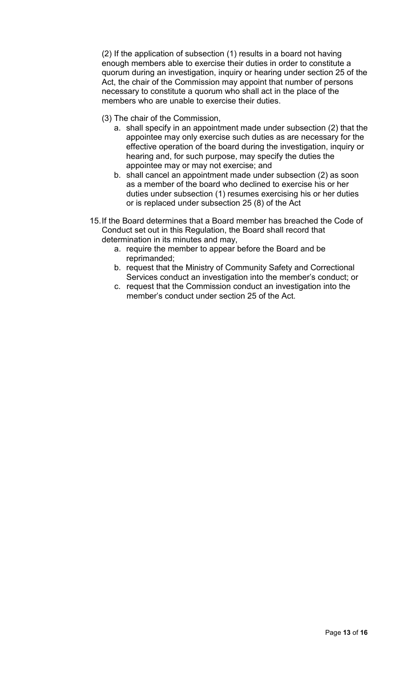(2) If the application of subsection (1) results in a board not having enough members able to exercise their duties in order to constitute a quorum during an investigation, inquiry or hearing under section 25 of the Act, the chair of the Commission may appoint that number of persons necessary to constitute a quorum who shall act in the place of the members who are unable to exercise their duties.

- (3) The chair of the Commission,
	- a. shall specify in an appointment made under subsection (2) that the appointee may only exercise such duties as are necessary for the effective operation of the board during the investigation, inquiry or hearing and, for such purpose, may specify the duties the appointee may or may not exercise; and
	- b. shall cancel an appointment made under subsection (2) as soon as a member of the board who declined to exercise his or her duties under subsection (1) resumes exercising his or her duties or is replaced under subsection 25 (8) of the Act
- 15.If the Board determines that a Board member has breached the Code of Conduct set out in this Regulation, the Board shall record that determination in its minutes and may,
	- a. require the member to appear before the Board and be reprimanded;
	- b. request that the Ministry of Community Safety and Correctional Services conduct an investigation into the member's conduct; or
	- c. request that the Commission conduct an investigation into the member's conduct under section 25 of the Act.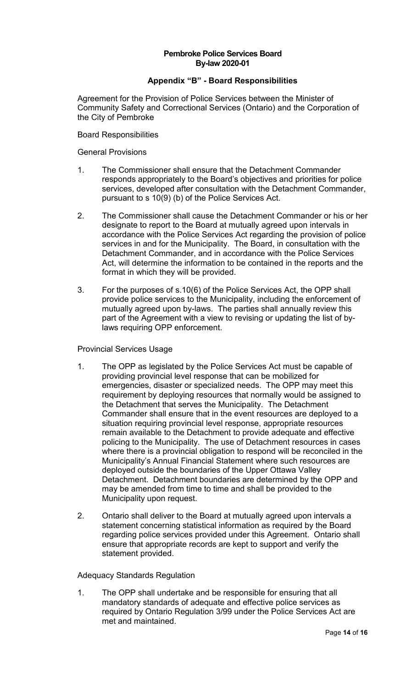## **Pembroke Police Services Board By-law 2020-01**

# **Appendix "B" - Board Responsibilities**

<span id="page-13-0"></span>Agreement for the Provision of Police Services between the Minister of Community Safety and Correctional Services (Ontario) and the Corporation of the City of Pembroke

Board Responsibilities

General Provisions

- 1. The Commissioner shall ensure that the Detachment Commander responds appropriately to the Board's objectives and priorities for police services, developed after consultation with the Detachment Commander, pursuant to s 10(9) (b) of the Police Services Act.
- 2. The Commissioner shall cause the Detachment Commander or his or her designate to report to the Board at mutually agreed upon intervals in accordance with the Police Services Act regarding the provision of police services in and for the Municipality. The Board, in consultation with the Detachment Commander, and in accordance with the Police Services Act, will determine the information to be contained in the reports and the format in which they will be provided.
- 3. For the purposes of s.10(6) of the Police Services Act, the OPP shall provide police services to the Municipality, including the enforcement of mutually agreed upon by-laws. The parties shall annually review this part of the Agreement with a view to revising or updating the list of bylaws requiring OPP enforcement.

## Provincial Services Usage

- 1. The OPP as legislated by the Police Services Act must be capable of providing provincial level response that can be mobilized for emergencies, disaster or specialized needs. The OPP may meet this requirement by deploying resources that normally would be assigned to the Detachment that serves the Municipality. The Detachment Commander shall ensure that in the event resources are deployed to a situation requiring provincial level response, appropriate resources remain available to the Detachment to provide adequate and effective policing to the Municipality. The use of Detachment resources in cases where there is a provincial obligation to respond will be reconciled in the Municipality's Annual Financial Statement where such resources are deployed outside the boundaries of the Upper Ottawa Valley Detachment. Detachment boundaries are determined by the OPP and may be amended from time to time and shall be provided to the Municipality upon request.
- 2. Ontario shall deliver to the Board at mutually agreed upon intervals a statement concerning statistical information as required by the Board regarding police services provided under this Agreement. Ontario shall ensure that appropriate records are kept to support and verify the statement provided.

Adequacy Standards Regulation

1. The OPP shall undertake and be responsible for ensuring that all mandatory standards of adequate and effective police services as required by Ontario Regulation 3/99 under the Police Services Act are met and maintained.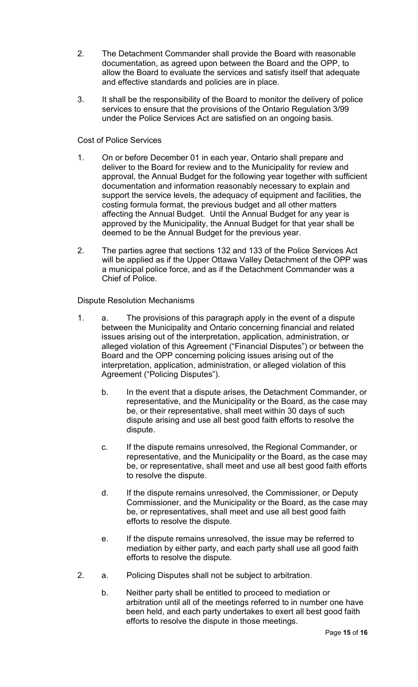- 2. The Detachment Commander shall provide the Board with reasonable documentation, as agreed upon between the Board and the OPP, to allow the Board to evaluate the services and satisfy itself that adequate and effective standards and policies are in place.
- 3. It shall be the responsibility of the Board to monitor the delivery of police services to ensure that the provisions of the Ontario Regulation 3/99 under the Police Services Act are satisfied on an ongoing basis.

# Cost of Police Services

- 1. On or before December 01 in each year, Ontario shall prepare and deliver to the Board for review and to the Municipality for review and approval, the Annual Budget for the following year together with sufficient documentation and information reasonably necessary to explain and support the service levels, the adequacy of equipment and facilities, the costing formula format, the previous budget and all other matters affecting the Annual Budget. Until the Annual Budget for any year is approved by the Municipality, the Annual Budget for that year shall be deemed to be the Annual Budget for the previous year.
- 2. The parties agree that sections 132 and 133 of the Police Services Act will be applied as if the Upper Ottawa Valley Detachment of the OPP was a municipal police force, and as if the Detachment Commander was a Chief of Police.

# Dispute Resolution Mechanisms

- 1. a. The provisions of this paragraph apply in the event of a dispute between the Municipality and Ontario concerning financial and related issues arising out of the interpretation, application, administration, or alleged violation of this Agreement ("Financial Disputes") or between the Board and the OPP concerning policing issues arising out of the interpretation, application, administration, or alleged violation of this Agreement ("Policing Disputes").
	- b. In the event that a dispute arises, the Detachment Commander, or representative, and the Municipality or the Board, as the case may be, or their representative, shall meet within 30 days of such dispute arising and use all best good faith efforts to resolve the dispute.
	- c. If the dispute remains unresolved, the Regional Commander, or representative, and the Municipality or the Board, as the case may be, or representative, shall meet and use all best good faith efforts to resolve the dispute.
	- d. If the dispute remains unresolved, the Commissioner, or Deputy Commissioner, and the Municipality or the Board, as the case may be, or representatives, shall meet and use all best good faith efforts to resolve the dispute.
	- e. If the dispute remains unresolved, the issue may be referred to mediation by either party, and each party shall use all good faith efforts to resolve the dispute.
- 2. a. Policing Disputes shall not be subject to arbitration.
	- b. Neither party shall be entitled to proceed to mediation or arbitration until all of the meetings referred to in number one have been held, and each party undertakes to exert all best good faith efforts to resolve the dispute in those meetings.